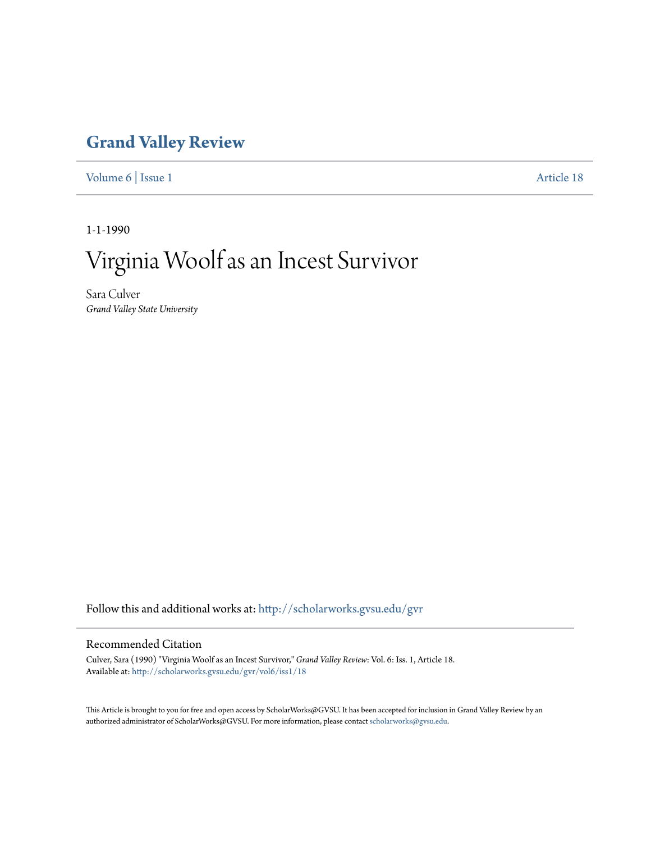### **[Grand Valley Review](http://scholarworks.gvsu.edu/gvr?utm_source=scholarworks.gvsu.edu%2Fgvr%2Fvol6%2Fiss1%2F18&utm_medium=PDF&utm_campaign=PDFCoverPages)**

[Volume 6](http://scholarworks.gvsu.edu/gvr/vol6?utm_source=scholarworks.gvsu.edu%2Fgvr%2Fvol6%2Fiss1%2F18&utm_medium=PDF&utm_campaign=PDFCoverPages) | [Issue 1](http://scholarworks.gvsu.edu/gvr/vol6/iss1?utm_source=scholarworks.gvsu.edu%2Fgvr%2Fvol6%2Fiss1%2F18&utm_medium=PDF&utm_campaign=PDFCoverPages) [Article 18](http://scholarworks.gvsu.edu/gvr/vol6/iss1/18?utm_source=scholarworks.gvsu.edu%2Fgvr%2Fvol6%2Fiss1%2F18&utm_medium=PDF&utm_campaign=PDFCoverPages)

1-1-1990

# Virginia Woolf as an Incest Survivor

Sara Culver *Grand Valley State University*

Follow this and additional works at: [http://scholarworks.gvsu.edu/gvr](http://scholarworks.gvsu.edu/gvr?utm_source=scholarworks.gvsu.edu%2Fgvr%2Fvol6%2Fiss1%2F18&utm_medium=PDF&utm_campaign=PDFCoverPages)

### Recommended Citation

Culver, Sara (1990) "Virginia Woolf as an Incest Survivor," *Grand Valley Review*: Vol. 6: Iss. 1, Article 18. Available at: [http://scholarworks.gvsu.edu/gvr/vol6/iss1/18](http://scholarworks.gvsu.edu/gvr/vol6/iss1/18?utm_source=scholarworks.gvsu.edu%2Fgvr%2Fvol6%2Fiss1%2F18&utm_medium=PDF&utm_campaign=PDFCoverPages)

This Article is brought to you for free and open access by ScholarWorks@GVSU. It has been accepted for inclusion in Grand Valley Review by an authorized administrator of ScholarWorks@GVSU. For more information, please contact [scholarworks@gvsu.edu.](mailto:scholarworks@gvsu.edu)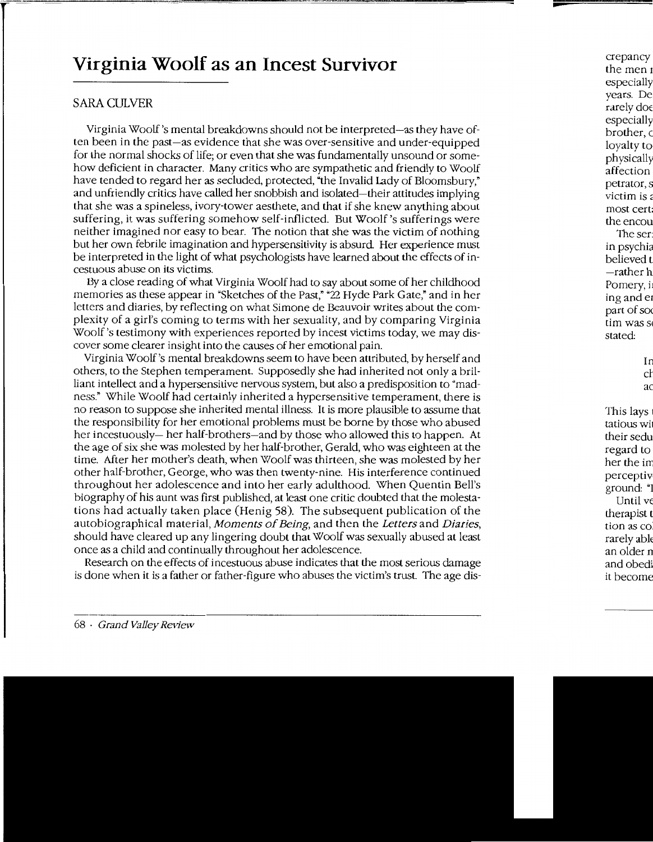## **Virginia Woolf as an Incest Survivor**

### SARA CULVER

Virginia Woolf's mental breakdowns should not be interpreted-as they have often been in the past-as evidence that she was over-sensitive and under-equipped for the normal shocks of life; or even that she was fundamentally unsound or somehow deficient in character. Many critics who are sympathetic and friendly to Woolf have tended to regard her as secluded, protected, "the Invalid Lady of Bloomsbury," and unfriendly critics have called her snobbish and isolated-their attitudes implying that she was a spineless, ivory-tower aesthete, and that if she knew anything about suffering, it was suffering somehow self-inflicted. But Woolf's sufferings were neither imagined nor easy to bear. The notion that she was the victim of nothing but her own febrile imagination and hypersensitivity is absurd. Her experience must be interpreted in the light of what psychologists have learned about the effects of incestuous abuse on its victims.

By a close reading of what Virginia Woolf had to say about some of her childhood memories as these appear in "Sketches of the Past," "22 Hyde Park Gate," and in her letters and diaries, by reflecting on what Simone de Beauvoir writes about the complexity of a girl's coming to terms with her sexuality, and by comparing Virginia Woolf's testimony with experiences reported by incest victims today, we may discover some clearer insight into the causes of her emotional pain.

Virginia Woolf's mental breakdowns seem to have been attributed, by herself and others, to the Stephen temperament. Supposedly she had inherited not only a brilliant intellect and a hypersensitive nervous system, but also a predisposition to "madness." While Woolf had certainly inherited a hypersensitive temperament, there is no reason to suppose she inherited mental illness. It is more plausible to assume that the responsibility for her emotional problems must be borne by those who abused her incestuously- her half-brothers-and by those who allowed this to happen. At the age of six she was molested by her half-brother, Gerald, who was eighteen at the time. After her mother's death, when Woolf was thirteen, she was molested by her other half-brother, George, who was then twenty-nine. His interference continued throughout her adolescence and into her early adulthood. When Quentin Bell's biography of his aunt was first published, at least one critic doubted that the molestations had actually taken place (Henig 58). The subsequent publication of the autobiographical material, Moments of Being, and then the Letters and Diaries, should have cleared up any lingering doubt that Woolf was sexually abused at least once as a child and continually throughout her adolescence.

Research on the effects of incestuous abuse indicates that the most serious damage is done when it is a father or father-figure who abuses the victim's trust. The age dis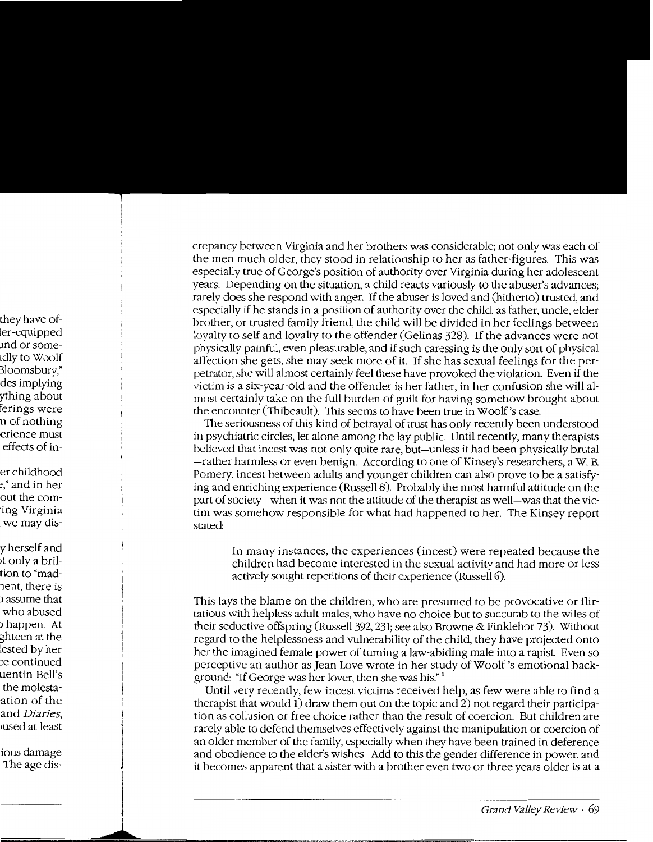crepancy between Virginia and her brothers was considerable; not only was each of the men much older, they stood in relationship to her as father-figures. This was especially true of George's position of authority over Virginia during her adolescent years. Depending on the situation, a child reacts variously to the abuser's advances; rarely does she respond with anger. If the abuser is loved and (hitherto) trusted, and especially if he stands in a position of authority over the child, as father, uncle, elder brother, or trusted family friend, the child will be divided in her feelings between loyalty to self and loyalty to the offender (Gelinas 328). If the advances were not physically painful, even pleasurable, and if such caressing is the only sort of physical affection she gets, she may seek more of it. If she has sexual feelings for the perpetrator, she will almost certainly feel these have provoked the violation. Even if the victim is a six-year-old and the offender is her father, in her confusion she will almost certainly take on the full burden of guilt for having somehow brought about the encounter (1hibeault). 1his seems to have been true in Woolf's case.

1he seriousness of this kind of betrayal of trust has only recently been understood in psychiatric circles, let alone among the lay public. Until recently, many therapists believed that incest was not only quite rare, but-unless it had been physically brutal -rather harmless or even benign. According to one of Kinsey's researchers, a W. B. Pomery, incest between adults and younger children can also prove to be a satisfying and enriching experience (Russell 8). Probably the most harmful attitude on the part of society-when it was not the attitude of the therapist as well-was that the victim was somehow responsible for what had happened to her. The Kinsey report stated:

In many instances, the experiences (incest) were repeated because the children had become interested in the sexual activity and had more or less actively sought repetitions of their experience (Russell6).

This lays the blame on the children, who are presumed to be provocative or flirtatious with helpless adult males, who have no choice but to succumb to the wiles of their seductive offspring (Russell392, 231; see also Browne & Finklehor 73). Without regard to the helplessness and vulnerability of the child, they have projected onto her the imagined female power of turning a law-abiding male into a rapist Even so perceptive an author as Jean Love wrote in her study of Woolf's emotional background: "If George was her lover, then she was his." 1

Until very recently, few incest victims received help, as few were able to find a therapist that would 1) draw them out on the topic and 2) not regard their participation as collusion or free choice rather than the result of coercion. But children are rarely able to defend themselves effectively against the manipulation or coercion of an older member of the family, especially when they have been trained in deference and obedience to the elder's wishes. Add to this the gender difference in power, and it becomes apparent that a sister with a brother even two or three years older is at a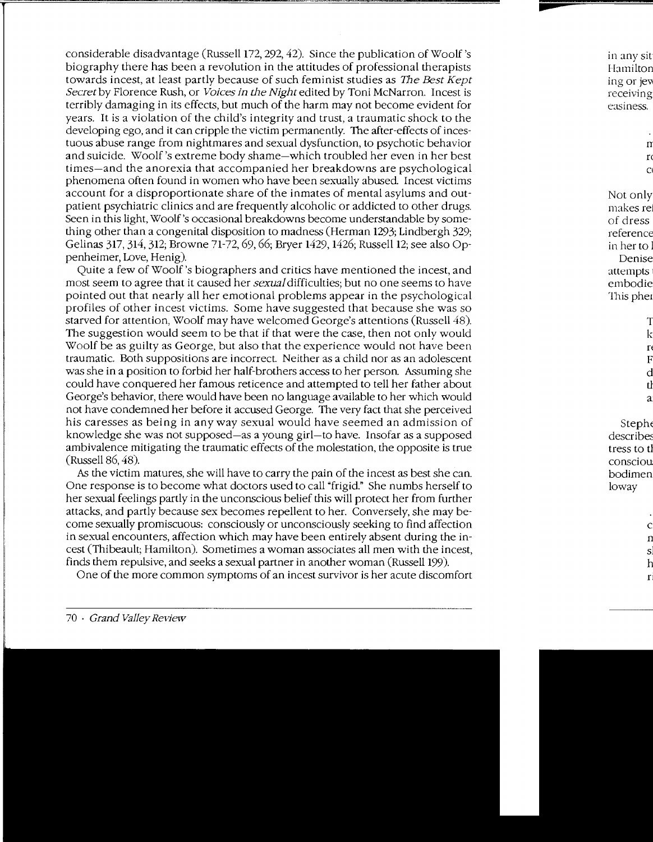considerable disadvantage (Russell172, 292, 42). Since the publication of Woolf's biography there has been a revolution in the attitudes of professional therapists towards incest, at least partly because of such feminist studies as *The Best Kept Secret* by Florence Rush, or *Voices in the Night* edited by Toni McNarron. Incest is terribly damaging in its effects, but much of the harm may not become evident for years. It is a violation of the child's integrity and trust, a traumatic shock to the developing ego, and it can cripple the victim permanently. The after-effects of incestuous abuse range from nightmares and sexual dysfunction, to psychotic behavior and suicide. Woolf's extreme body shame-which troubled her even in her best times-and the anorexia that accompanied her breakdowns are psychological phenomena often found in women who have been sexually abused. Incest victims account for a disproportionate share of the inmates of mental asylums and outpatient psychiatric clinics and are frequently alcoholic or addicted to other drugs. Seen in this light, Woolf's occasional breakdowns become understandable by something other than a congenital disposition to madness (Herman 1293; Lindbergh 329; Gelinas 317,314, 312; Browne 71-72,69, 66; Bryer 1429, 1426; Russell12; see also Oppenheimer, Love, Henig).

Quite a few of Woolf's biographers and critics have mentioned the incest, and most seem to agree that it caused her *sexual* difficulties; but no one seems to have pointed out that nearly all her emotional problems appear in the psychological profiles of other incest victims. Some have suggested that because she was so starved for attention, Woolf may have welcomed George's attentions (Russell 48). The suggestion would seem to be that if that were the case, then not only would Woolf be as guilty as George, but also that the experience would not have been traumatic. Both suppositions are incorrect. Neither as a child nor as an adolescent was she in a position to forbid her half-brothers access to her person. Assuming she could have conquered her famous reticence and attempted to tell her father about George's behavior, there would have been no language available to her which would not have condemned her before it accused George. The very fact that she perceived his caresses as being in any way sexual would have seemed an admission of knowledge she was not supposed-as a young girl-to have. Insofar as a supposed ambivalence mitigating the traumatic effects of the molestation, the opposite is true (Russell86, 48).

As the victim matures, she will have to carry the pain of the incest as best she can. One response is to become what doctors used to call "frigid." She numbs herself to her sexual feelings partly in the unconscious belief this will protect her from further attacks, and partly because sex becomes repellent to her. Conversely, she may become sexually promiscuous: consciously or unconsciously seeking to find affection in sexual encounters, affection which may have been entirely absent during the incest (Thibeault; Hamilton). Sometimes a woman associates all men with the incest, finds them repulsive, and seeks a sexual partner in another woman (Russell 199).

One of the more common symptoms of an incest survivor is her acute discomfort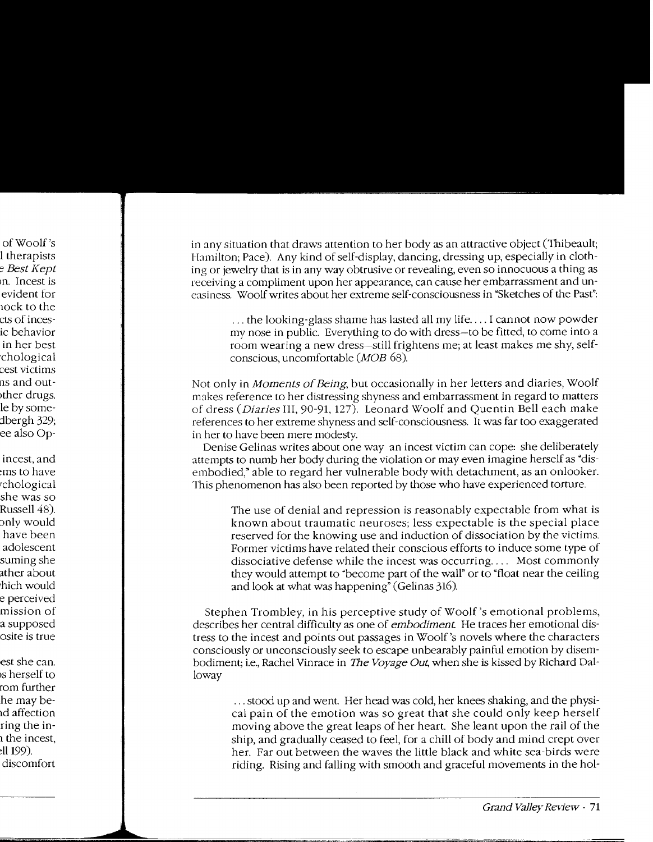in any situation that draws attention to her body as an attractive object (Thibeault; Hamilton; Pace). Any kind of self-display, dancing, dressing up, especially in clothing or jewelry that is in any way obtrusive or revealing, even so innocuous a thing as receiving a compliment upon her appearance, can cause her embarrassment and uneasiness. Woolf writes about her extreme self-consciousness in "Sketches of the Past":

... the looking-glass shame has lasted all my life .... I cannot now powder my nose in public. Everything to do with dress-to be fitted, to come into a room wearing a new dress-still frightens me; at least makes me shy, selfconscious, uncomfortable *(MOB* 68).

Not only in *Moments of Being,* but occasionally in her letters and diaries, Woolf makes reference to her distressing shyness and embarrassment in regard to matters of dress *(Diaries* III, 90-91, 127). Leonard Woolf and Quentin Bell each make references to her extreme shyness and self-consciousness. It was far too exaggerated in her to have been mere modesty.

Denise Gelinas writes about one way an incest victim can cope: she deliberately attempts to numb her body during the violation or may even imagine herself as "disembodied," able to regard her vulnerable body with detachment, as an onlooker. 'Ihis phenomenon has also been reported by those who have experienced torture.

The use of denial and repression is reasonably expectable from what is known about traumatic neuroses; less expectable is the special place reserved for the knowing use and induction of dissociation by the victims. Former victims have related their conscious efforts to induce some type of dissociative defense while the incest was occurring. . . . Most commonly they would attempt to "become part of the wall" or to "float near the ceiling and look at what was happening" (Gelinas 316).

Stephen Trombley, in his perceptive study of Woolf's emotional problems, describes her central difficulty as one of *embodiment.* He traces her emotional distress to the incest and points out passages in Woolf's novels where the characters consciously or unconsciously seek to escape unbearably painful emotion by disembodiment; i.e., Rachel Vinrace in *The Voyage Out,* when she is kissed by Richard Dalloway

... stood up and went. Her head was cold, her knees shaking, and the physical pain of the emotion was so great that she could only keep herself moving above the great leaps of her heart. She leant upon the rail of the ship, and gradually ceased to feel, for a chill of body and mind crept over her. Far out between the waves the little black and white sea-birds were riding. Rising and falling with smooth and graceful movements in the hol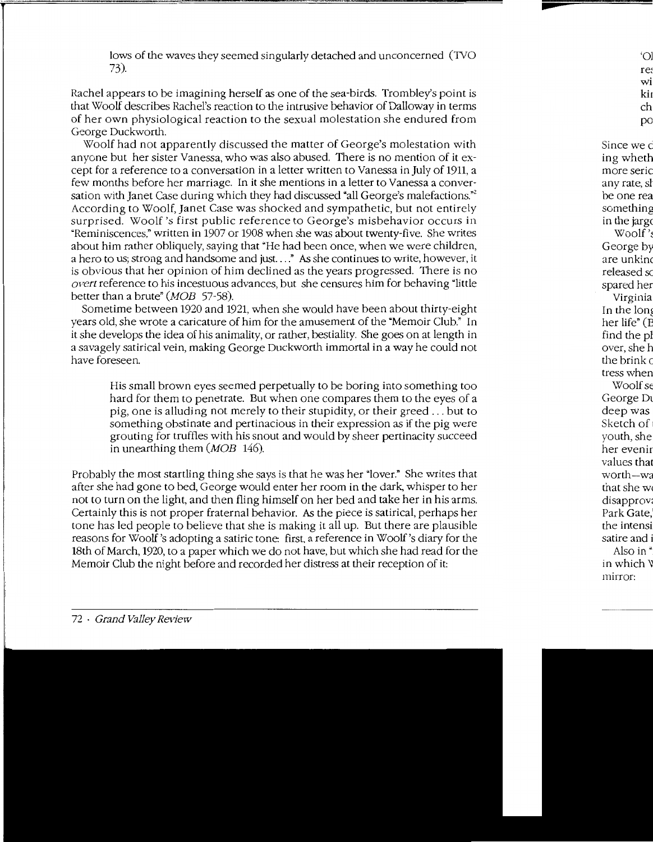lows of the waves they seemed singularly detached and unconcerned (TVO) 73).

Rachel appears to be imagining herself as one of the sea-birds. Trombley's point is that Woolf describes Rachel's reaction to the intrusive behavior of Dalloway in terms of her own physiological reaction to the sexual molestation she endured from George Duckworth.

Woolf had not apparently discussed the matter of George's molestation with anyone but her sister Vanessa, who was also abused. There is no mention of it except for a reference to a conversation in a letter written to Vanessa in July of 1911, a few months before her marriage. In it she mentions in a letter to Vanessa a conversation with Janet Case during which they had discussed "all George's malefactions."<sup>2</sup> According to Woolf, Janet Case was shocked and sympathetic, but not entirely surprised. Woolf's first public reference to George's misbehavior occurs in "Reminiscences," written in 1907 or 1908 when she was about twenty-five. She writes about him rather obliquely, saying that "He had been once, when we were children, a hero to us; strong and handsome and just. ... " As she continues to write, however, it is obvious that her opinion of him declined as the years progressed. There is no *overt* reference to his incestuous advances, but she censures him for behaving "little better than a brute" (MOB 57-SS).

Sometime between 1920 and 1921, when she would have been about thirty-eight years old, she wrote a caricature of him for the amusement of the "Memoir Club." In it she develops the idea of his animality, or rather, bestiality. She goes on at length in a savagely satirical vein, making George Duckworth immortal in a way he could not have foreseen.

His small brown eyes seemed perpetually to be boring into something too hard for them to penetrate. But when one compares them to the eyes of a pig, one is alluding not merely to their stupidity, or their greed ... but to something obstinate and pertinacious in their expression as if the pig were grouting for truffles with his snout and would by sheer pertinacity succeed in unearthing them (MOB 146).

Probably the most startling thing she says is that he was her "lover." She writes that after she had gone to bed, George would enter her room in the dark, whisper to her not to turn on the light, and then fling himself on her bed and take her in his arms. Certainly this is not proper fraternal behavior. As the piece is satirical, perhaps her tone has led people to believe that she is making it all up. But there are plausible reasons for Woolf's adopting a satiric tone: first, a reference in Woolf's diary for the 18th of March, 1920, to a paper which we do not have, but which she had read for the Memoir Club the night before and recorded her distress at their reception of it: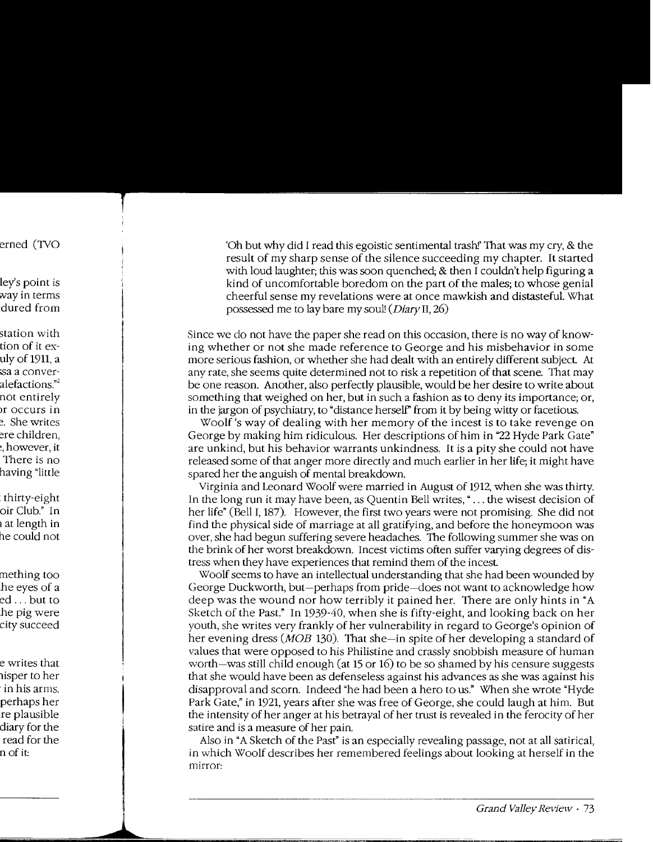'Oh but why did I read this egoistic sentimental trash!' 1hat was my cry, & the result of my sharp sense of the silence succeeding my chapter. It started with loud laughter; this was soon quenched; & then I couldn't help figuring a kind of uncomfortable boredom on the part of the males; to whose genial cheerful sense my revelations were at once mawkish and distasteful. What possessed me to lay bare my soul! ( $Diary$  II, 26)

Since we do not have the paper she read on this occasion, there is no way of knowing whether or not she made reference to George and his misbehavior in some more serious fashion, or whether she had dealt with an entirely different subject At any rate, she seems quite determined not to risk a repetition of that scene. That may be one reason. Another, also perfectly plausible, would be her desire to write about something that weighed on her, but in such a fashion as to deny its importance; or, in the jargon of psychiatry, to "distance herself' from it by being witty or facetious.

Woolf's way of dealing with her memory of the incest is to take revenge on George by making him ridiculous. Her descriptions of him in "22 Hyde Park Gate" are unkind, but his behavior warrants unkindness. It is a pity she could not have released some of that anger more directly and much earlier in her life; it might have spared her the anguish of mental breakdown.

Virginia and Leonard Woolf were married in August of 1912, when she was thirty . In the long run it may have been, as Quentin Bell writes, " ... the wisest decision of her life" (Bell I, 187). However, the first two years were not promising. She did not find the physical side of marriage at all gratifying, and before the honeymoon was over, she had begun suffering severe headaches. 1he following summer she was on the brink of her worst breakdown. Incest victims often suffer varying degrees of distress when they have experiences that remind them of the incest

Woolf seems to have an intellectual understanding that she had been wounded by George Duckworth, but-perhaps from pride-does not want to acknowledge how deep was the wound nor how terribly it pained her. There are only hints in "A Sketch of the Past." In 1939-40, when she is fifty-eight, and looking back on her youth, she writes very frankly of her vulnerability in regard to George's opinion of her evening dress (*MOB* 130). That she—in spite of her developing a standard of values that were opposed to his Philistine and crassly snobbish measure of human worth-was still child enough (at 15 or 16) to be so shamed by his censure suggests that she would have been as defenseless against his advances as she was against his disapproval and scorn. Indeed "he had been a hero to us." When she wrote "Hyde Park Gate," in 1921, years after she was free of George, she could laugh at him. But the intensity of her anger at his betrayal of her trust is revealed in the ferocity of her satire and is a measure of her pain.

Also in "A Sketch of the Past" is an especially revealing passage, not at all satirical, in which Woolf describes her remembered feelings about looking at herself in the mirror: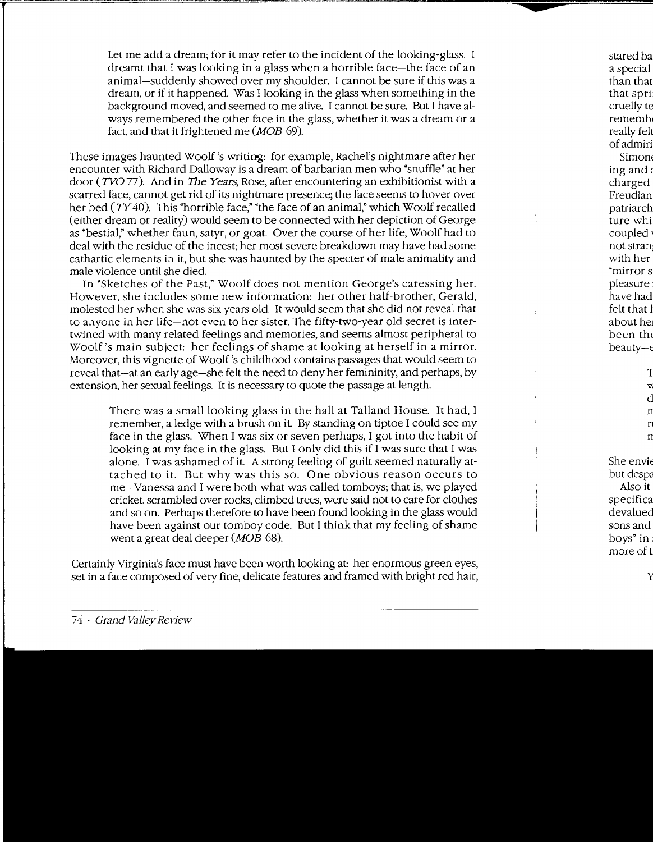Let me add a dream; for it may refer to the incident of the looking-glass. I dreamt that I was looking in a glass when a horrible face-the face of an animal-suddenly showed over my shoulder. I cannot be sure if this was a dream, or if it happened. Was I looking in the glass when something in the background moved, and seemed to me alive. I cannot be sure. But I have always remembered the other face in the glass, whether it was a dream or a fact, and that it frightened me (MOB 69).

These images haunted Woolf's writing: for example, Rachel's nightmare after her encounter with Richard Dalloway is a dream of barbarian men who "snuffle" at her door *(TV077).* And in The *Years,* Rose, after encountering an exhibitionist with a scarred face, cannot get rid of its nightmare presence; the face seems to hover over her bed ( *1Y* 40). This "horrible face," "the face of an animal," which Woolf recalled (either dream or reality) would seem to be connected with her depiction of George as "bestial," whether faun, satyr, or goat. Over the course of her life, Woolf had to deal with the residue of the incest; her most severe breakdown may have had some cathartic elements in it, but she was haunted by the specter of male animality and male violence until she died.

In "Sketches of the Past," Woolf does not mention George's caressing her. However, she includes some new information: her other half-brother, Gerald, molested her when she was six years old. It would seem that she did not reveal that to anyone in her life-not even to her sister. The fifty-two-year old secret is intertwined with many related feelings and memories, and seems almost peripheral to Woolf's main subject: her feelings of shame at looking at herself in a mirror. Moreover, this vignette of Woolf's childhood contains passages that would seem to reveal that-at an early age-she felt the need to deny her femininity, and perhaps, by extension, her sexual feelings. It is necessary to quote the passage at length.

There was a small looking glass in the hall at Talland House. It had, I remember, a ledge with a brush on it By standing on tiptoe I could see my face in the glass. When I was six or seven perhaps, I got into the habit of looking at my face in the glass. But I only did this if I was sure that I was alone. I was ashamed of it. A strong feeling of guilt seemed naturally attached to it. But why was this so. One obvious reason occurs to me-Vanessa and I were both what was called tomboys; that is, we played cricket, scrambled over rocks, climbed trees, were said not to care for clothes and so on. Perhaps therefore to have been found looking in the glass would have been against our tomboy code. But I think that my feeling of shame went a great deal deeper (MOB 68).

Certainly Virginia's face must have been worth looking at: her enormous green eyes, set in a face composed of very fine, delicate features and framed with bright red hair,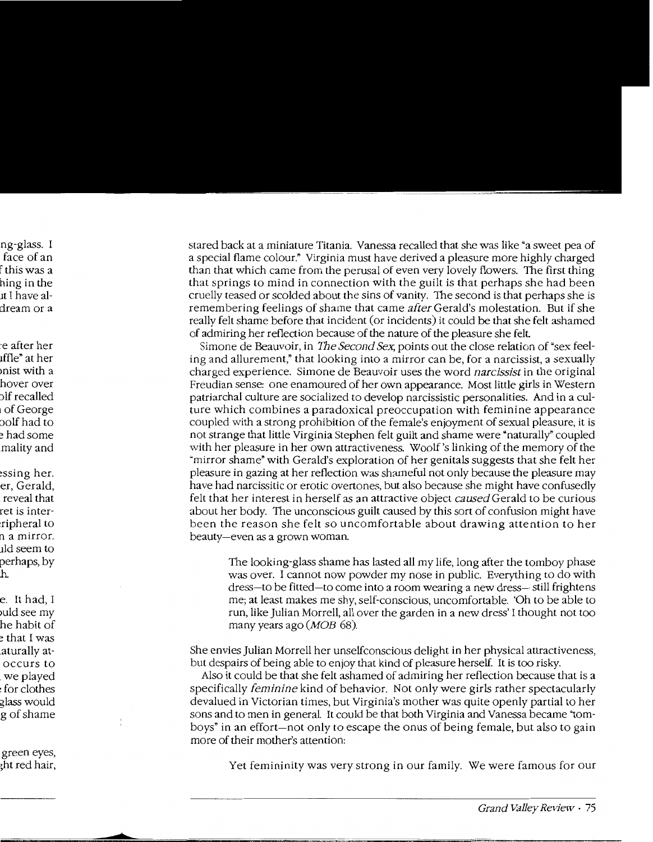stared back at a miniature Titania. Vanessa recalled that she was like "a sweet pea of a special flame colour." Virginia must have derived a pleasure more highly charged than that which came from the perusal of even very lovely flowers. The first thing that springs to mind in connection with the guilt is that perhaps she had been cruelly teased or scolded about the sins of vanity. The second is that perhaps she is remembering feelings of shame that came *after* Gerald's molestation. But if she really felt shame before that incident (or incidents) it could be that she felt ashamed of admiring her reflection because of the nature of the pleasure she felt

Simone de Beauvoir, in *The Second Sex,* points out the close relation of "sex feeling and allurement," that looking into a mirror can be, for a narcissist, a sexually charged experience. Simone de Beauvoir uses the word *narcissist* in the original Freudian sense: one enamoured of her own appearance. Most little girls in Western patriarchal culture are socialized to develop narcissistic personalities. And in a culture which combines a paradoxical preoccupation with feminine appearance coupled with a strong prohibition of the female's enjoyment of sexual pleasure, it is not strange that little Virginia Stephen felt guilt and shame were "naturally" coupled with her pleasure in her own attractiveness. Woolf's linking of the memory of the "mirror shame" with Gerald's exploration of her genitals suggests that she felt her pleasure in gazing at her reflection was shameful not only because the pleasure may have had narcissitic or erotic overtones, but also because she might have confusedly felt that her interest in herself as an attractive object *caused* Gerald to be curious about her body. The unconscious guilt caused by this sort of confusion might have been the reason she felt so uncomfortable about drawing attention to her beauty-even as a grown woman.

The looking-glass shame has lasted all my life, long after the tomboy phase was over. I cannot now powder my nose in public. Everything to do with dress-to be fitted-to come into a room wearing a new dress- still frightens me; at least makes me shy, self-conscious, uncomfortable. 'Oh to be able to run, like Julian Morrell, all over the garden in a new dress' I thought not too many years ago (*MOB* 68).

She envies Julian Morrell her unselfconscious delight in her physical attractiveness, but despairs of being able to enjoy that kind of pleasure herself. It is too risky.

Also it could be that she felt ashamed of admiring her reflection because that is a specifically *feminine* kind of behavior. Not only were girls rather spectacularly devalued in Victorian times, but Virginia's mother was quite openly partial to her sons and to men in general. It could be that both Virginia and Vanessa became "tomboys" in an effort-not only to escape the onus of being female, but also to gain more of their mother's attention:

Yet femininity was very strong in our family. We were famous for our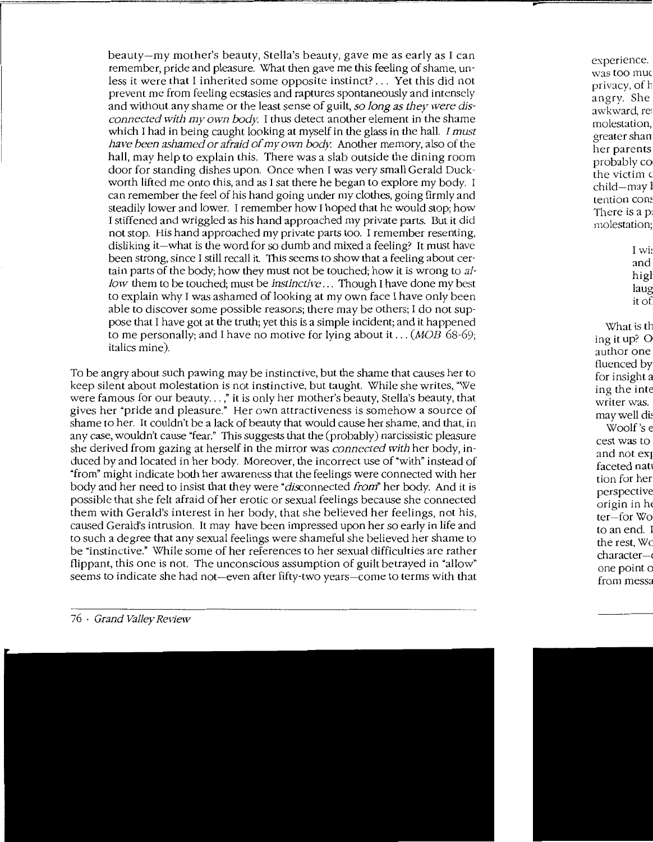beauty-my mother's beauty, Stella's beauty, gave me as early as I can remember, pride and pleasure. What then gave me this feeling of shame, unless it were that I inherited some opposite instinct? ... Yet this did not prevent me from feeling ecstasies and raptures spontaneously and intensely and without any shame or the least sense of guilt, *so long as they were disconnected with my own body* I thus detect another element in the shame which I had in being caught looking at myself in the glass in the hall. I *must have been ashamed or afraid of my own body.* Another memory, also of the hall, may help to explain this. There was a slab outside the dining room door for standing dishes upon. Once when I was very small Gerald Duckworth lifted me onto this, and as I sat there he began to explore my body. I can remember the feel of his hand going under my clothes, going firmly and steadily lower and lower. I remember how I hoped that he would stop; how I stiffened and wriggled as his hand approached my private parts. But it did not stop. His hand approached my private parts too. I remember resenting, disliking it-what is the word for so dumb and mixed a feeling? It must have been strong, since I still recall it This seems to show that a feeling about certain parts of the body; how they must not be touched; how it is wrong to *allow* them to be touched; must be *instinctive ..* . Though I have done my best to explain why I was ashamed of looking at my own face I have only been able to discover some possible reasons; there may be others; I do not suppose that I have got at the truth; yet this is a simple incident; and it happened to me personally; and I have no motive for lying about it ...  $(MOB$  68-69; italics mine).

To be angry about such pawing may be instinctive, but the shame that causes her to keep silent about molestation is not instinctive, but taught. \\lhile she writes, "We were famous for our beauty...," it is only her mother's beauty, Stella's beauty, that gives her "pride and pleasure." Her own attractiveness is somehow a source of shame to her. It couldn't be a lack of beauty that would cause her shame, and that, in any case, wouldn't cause "fear." This suggests that the (probably) narcissistic pleasure she derived from gazing at herself in the mirror was *connected with* her body, induced by and located in her body. Moreover, the incorrect use of "with" instead of "from" might indicate both her awareness that the feelings were connected with her body and her need to insist that they were "disconnected *from"* her body. And it is possible that she felt afraid of her erotic or sexual feelings because she connected them with Gerald's interest in her body, that she believed her feelings, not his, caused Gerald's intrusion. It may have been impressed upon her so early in life and to such a degree that any sexual feelings were shameful she believed her shame to be "instinctive." While some of her references to her sexual difficulties are rather flippant, this one is not. The unconscious assumption of guilt betrayed in "allow" seems to indicate she had not-even after fifty-two years-come to terms with that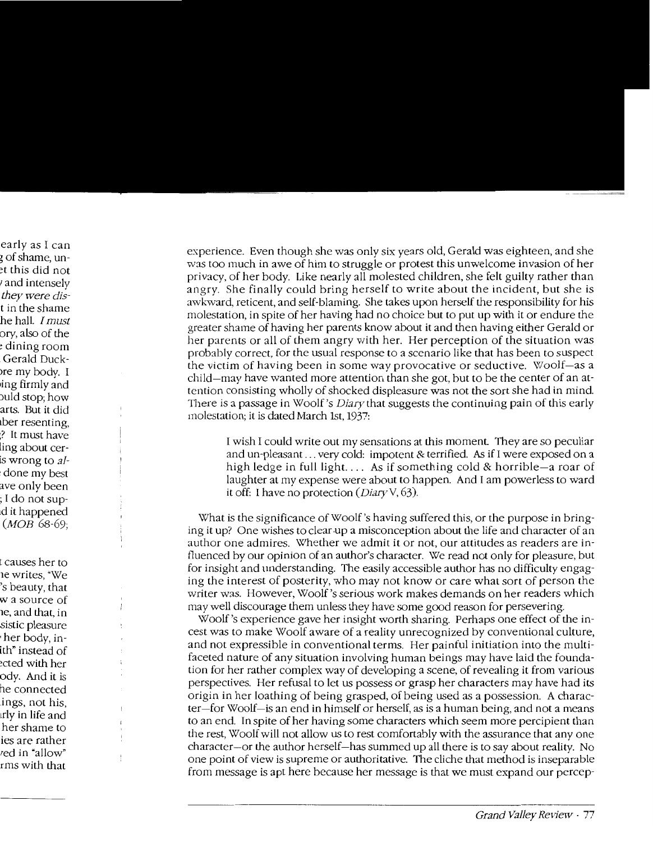experience. Even though she was only six years old, Gerald was eighteen, and she was too much in awe of him to struggle or protest this unwelcome invasion of her privacy, of her body. Like nearly all molested children, she felt guilty rather than angry. She finally could bring herself to write about the incident, but she is awkward, reticent, and self-blaming. She takes upon herself the responsibility for his molestation, in spite of her having had no choice but to put up with it or endure the greater shame of having her parents know about it and then having either Gerald or her parents or all of them angry with her. Her perception of the situation was probably correct, for the usual response to a scenario like that has been to suspect the victim of having been in some way provocative or seductive. Woolf-as a child-may have wanted more attention than she got, but to be the center of an attention consisting wholly of shocked displeasure was not the sort she had in mind. There is a passage in Woolf's *Diary* that suggests the continuing pain of this early molestation; it is dated March 1st, 1937:

I wish I could write out my sensations at this moment They are so peculiar and un-pleasant ... very cold: impotent & terrified. As if I were exposed on a high ledge in full light.... As if something cold & horrible-a roar of laughter at my expense were about to happen. And I am powerless to ward it off: I have no protection (*Diary* V, 63).

What is the significance of Woolf's having suffered this, or the purpose in bringing it up? One wishes to clear-up a misconception about the life and character of an author one admires. \Vhether we admit it or not, our attitudes as readers are influenced by our opinion of an author's character. We read not only for pleasure, but for insight and understanding. The easily accessible author has no difficulty engaging the interest of posterity, who may not know or care what sort of person the writer was. However, Woolf's serious work makes demands on her readers which may well discourage them unless they have some good reason for persevering.

Woolf's experience gave her insight worth sharing. Perhaps one effect of the incest was to make Woolf aware of a reality unrecognized by conventional culture, and not expressible in conventional terms. Her painful initiation into the multifaceted nature of any situation involving human beings may have laid the foundation for her rather complex way of developing a scene, of revealing it from various perspectives. Her refusal to let us possess or grasp her characters may have had its origin in her loathing of being grasped, of being used as a possession. A character-for Woolf-is an end in himself or herself, as is a human being, and not a means to an end. In spite of her having some characters which seem more percipient than the rest, Woolf will not allow us to rest comfortably with the assurance that any one character-or the author herself-has summed up all there is to say about reality. No one point of view is supreme or authoritative. The cliche that method is inseparable from message is apt here because her message is that we must expand our percep-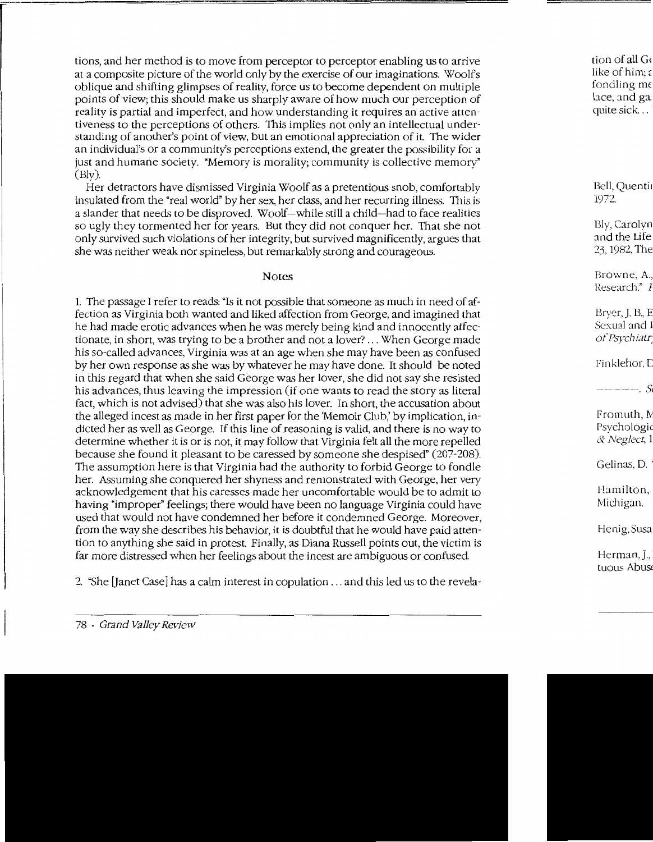tions, and her method is to move from perceptor to perceptor enabling us to arrive at a composite picture of the world only by the exercise of our imaginations. Woolfs oblique and shifting glimpses of reality, force us to become dependent on multiple points of view; this should make us sharply aware of how much our perception of reality is partial and imperfect, and how understanding it requires an active attentiveness to the perceptions of others. This implies not only an intellectual understanding of another's point of view, but an emotional appreciation of it The wider an individual's or a community's perceptions extend, the greater the possibility for a just and humane society. "Memory is morality; community is collective memory" (Bly).

Her detractors have dismissed Virginia Woolf as a pretentious snob, comfortably insulated from the "real world" by her sex, her class, and her recurring illness. This is a slander that needs to be disproved. Woolf-while still a child-had to face realities so ugly they tormented her for years. But they did not conquer her. That she not only survived such violations of her integrity, but survived magnificently, argues that she was neither weak nor spineless, but remarkably strong and courageous.

#### Notes

1. The passage I refer to reads: "Is it not possible that someone as much in need of affection as Virginia both wanted and liked affection from George, and imagined that he had made erotic advances when he was merely being kind and innocently affectionate, in short, was trying to be a brother and not a lover? ... When George made his so-called advances, Virginia was at an age when she may have been as confused by her own response as she was by whatever he may have done. It should be noted in this regard that when she said George was her lover, she did not say she resisted his advances, thus leaving the impression (if one wants to read the story as literal fact, which is not advised) that she was also his lover. In short, the accusation about the alleged incest as made in her first paper for the 'Memoir Club,' by implication, indicted her as well as George. If this line of reasoning is valid, and there is no way to determine whether it is or is not, it may follow that Virginia felt all the more repelled because she found it pleasant to be caressed by someone she despised" (207-208). The assumption here is that Virginia had the authority to forbid George to fondle her. Assuming she conquered her shyness and remonstrated with George, her very acknowledgement that his caresses made her uncomfortable would be to admit to having "improper" feelings; there would have been no language Virginia could have used that would not have condemned her before it condemned George. Moreover, from the way she describes his behavior, it is doubtful that he would have paid attention to anything she said in protest. Finally, as Diana Russell points out, the victim is far more distressed when her feelings about the incest are ambiguous or confused

2. "She [Janet Case] has a calm interest in copulation ... and this led us to the revela-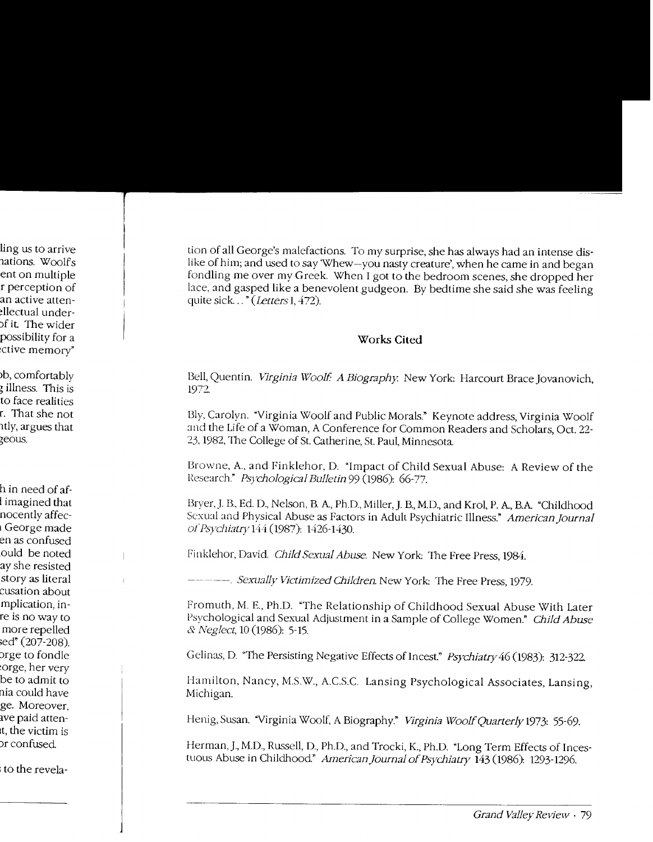tion of all George's malefactions. To my surprise, she has always had an intense dislike of him; and used to say 'Whew-you nasty creature', when he came in and began fondling me over my Greek. When I got to the bedroom scenes, she dropped her lace, and gasped like a benevolent gudgeon. By bedtime she said she was feeling quite sick . . " *(Letters I, 472)*.

### **Works Cited**

Bell, Quentin. *Virginia Woolf: A Biography*. New York: Harcourt Brace Jovanovich, 1972.

Ely, Carolyn. "Virginia Woolf and Public Morals." Keynote address, Virginia Woolf and the Life of a Woman, A Conference for Common Readers and Scholars, Oct. 22- 23. 1982, The College of St. Catherine, St. Paul, Minnesota.

Browne, A., and Finklehor, D. "Impact of Child Sexual Abuse: A Review of the Research." Psychological Bulletin 99 (1986): 66-77.

Bryer, J. B., Ed. D., Nelson, B. A., Ph.D., Miller, J. B., M.D., and Krol, P. A., B.A. "Childhood Sexual and Physical Abuse as Factors in Adult Psychiatric Illness." *American journal of Psychiatry* 144 (1987): 1426-1430.

Finklehor. David. *Child Sexual Abuse.* New York: The Free Press, 1984.

------. *Sexualfv Victimized Children.* New York: The Free Press, 1979.

Fromuth, M. E., Ph.D. "The Relationship of Childhood Sexual Abuse With Later Psychological and Sexual Adjustment in a Sample of College Women." *Child Abuse* & *Neglect,* 10 (1986): 5-15.

Gelinas, D. "The Persisting Negative Effects of Incest." *Psychiatry* 46 (1983): 312-322.

Hamilton. Nancy, M.S.W., A.C.S.C. Lansing Psychological Associates, Lansing, Michigan.

Henig, Susan. "Virginia Woolf, A Biography." *'v'irginia \VoolfQuarterlyl973:* 55-69.

Herman,]., M.D., Russell, D., Ph.D., and Trocki, K., Ph.D. "Long Term Effects of Incestuous Abuse in Childhood." *Americanjournal of Psychiatry* 143 (1986} 1293-1296.